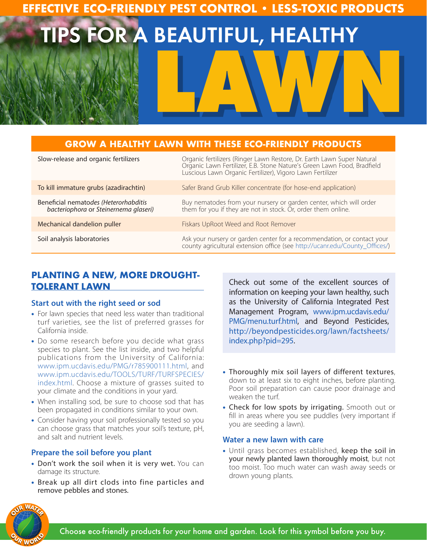# **EFFECTIVE ECO-FRIENDLY PEST CONTROL • LESS-TOXIC PRODUCTS**

TIPS FOR A BEAUTIFUL, HEALTHY **LAWN**

# **GROW A HEALTHY LAWN WITH THESE ECO-FRIENDLY PRODUCTS**

| Slow-release and organic fertilizers                                           | Organic fertilizers (Ringer Lawn Restore, Dr. Earth Lawn Super Natural<br>Organic Lawn Fertilizer, E.B. Stone Nature's Green Lawn Food, Bradfield<br>Luscious Lawn Organic Fertilizer), Vigoro Lawn Fertilizer |
|--------------------------------------------------------------------------------|----------------------------------------------------------------------------------------------------------------------------------------------------------------------------------------------------------------|
| To kill immature grubs (azadirachtin)                                          | Safer Brand Grub Killer concentrate (for hose-end application)                                                                                                                                                 |
| Beneficial nematodes (Heterorhabditis<br>bacteriophora or Steinernema glaseri) | Buy nematodes from your nursery or garden center, which will order<br>them for you if they are not in stock. Or, order them online.                                                                            |
| Mechanical dandelion puller                                                    | Fiskars UpRoot Weed and Root Remover                                                                                                                                                                           |
| Soil analysis laboratories                                                     | Ask your nursery or garden center for a recommendation, or contact your<br>county agricultural extension office (see http://ucanr.edu/County_Offices/)                                                         |

# **PLANTING A NEW, MORE DROUGHT-TOLERANT LAWN**

### **Start out with the right seed or sod**

- For lawn species that need less water than traditional turf varieties, see the list of preferred grasses for California inside.
- Do some research before you decide what grass species to plant. See the list inside, and two helpful publications from the University of California: www.ipm.ucdavis.edu/PMG/r785900111.html, and www.ipm.ucdavis.edu/TOOLS/TURF/TURFSPECIES/ index.html. Choose a mixture of grasses suited to your climate and the conditions in your yard.
- When installing sod, be sure to choose sod that has been propagated in conditions similar to your own.
- Consider having your soil professionally tested so you can choose grass that matches your soil's texture, pH, and salt and nutrient levels.

### **Prepare the soil before you plant**

- Don't work the soil when it is very wet. You can damage its structure.
- Break up all dirt clods into fine particles and remove pebbles and stones.

Check out some of the excellent sources of information on keeping your lawn healthy, such as the University of California Integrated Pest Management Program, www.ipm.ucdavis.edu/ PMG/menu.turf.html, and Beyond Pesticides, http://beyondpesticides.org/lawn/factsheets/ index.php?pid=295.

- Thoroughly mix soil layers of different textures, down to at least six to eight inches, before planting. Poor soil preparation can cause poor drainage and weaken the turf.
- Check for low spots by irrigating. Smooth out or fill in areas where you see puddles (very important if you are seeding a lawn).

### **Water a new lawn with care**

• Until grass becomes established, keep the soil in your newly planted lawn thoroughly moist, but not too moist. Too much water can wash away seeds or drown young plants.

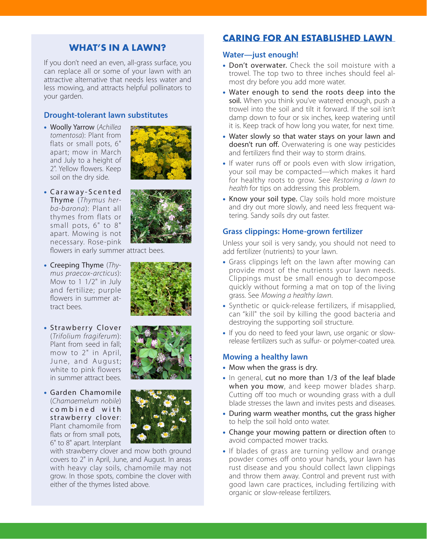# **WHAT'S IN A LAWN?**

If you don't need an even, all-grass surface, you can replace all or some of your lawn with an attractive alternative that needs less water and less mowing, and attracts helpful pollinators to your garden.

### **Drought-tolerant lawn substitutes**

• Woolly Yarrow (*Achillea tomentosa*): Plant from flats or small pots, 6" apart; mow in March and July to a height of 2". Yellow flowers. Keep soil on the dry side.



• Caraway-Scented Thyme (*Thymus herba-barona*): Plant all thymes from flats or small pots, 6" to 8" apart. Mowing is not necessary. Rose-pink



flowers in early summer attract bees.

- • Creeping Thyme (*Thymus praecox-arcticus*): Mow to 1 1/2" in July and fertilize; purple flowers in summer attract bees.
- • Strawberry Clover (*Trifolium fragiferum*): Plant from seed in fall; mow to 2" in April, June, and August; white to pink flowers in summer attract bees.



• Garden Chamomile (*Chamaemelum nobile*) c o m b i n e d w i t h strawberry clover: Plant chamomile from flats or from small pots, 6" to 8" apart. Interplant



with strawberry clover and mow both ground covers to 2" in April, June, and August. In areas with heavy clay soils, chamomile may not grow. In those spots, combine the clover with either of the thymes listed above.

# **CARING FOR AN ESTABLISHED LAWN**

### **Water—just enough!**

- Don't overwater. Check the soil moisture with a trowel. The top two to three inches should feel almost dry before you add more water.
- Water enough to send the roots deep into the soil. When you think you've watered enough, push a trowel into the soil and tilt it forward. If the soil isn't damp down to four or six inches, keep watering until it is. Keep track of how long you water, for next time.
- Water slowly so that water stays on your lawn and doesn't run off. Overwatering is one way pesticides and fertilizers find their way to storm drains.
- If water runs off or pools even with slow irrigation, your soil may be compacted—which makes it hard for healthy roots to grow. See *Restoring a lawn to health* for tips on addressing this problem.
- Know your soil type. Clay soils hold more moisture and dry out more slowly, and need less frequent watering. Sandy soils dry out faster.

### **Grass clippings: Home-grown fertilizer**

Unless your soil is very sandy, you should not need to add fertilizer (nutrients) to your lawn.

- Grass clippings left on the lawn after mowing can provide most of the nutrients your lawn needs. Clippings must be small enough to decompose quickly without forming a mat on top of the living grass. See *Mowing a healthy lawn*.
- Synthetic or quick-release fertilizers, if misapplied, can "kill" the soil by killing the good bacteria and destroying the supporting soil structure.
- If you do need to feed your lawn, use organic or slowrelease fertilizers such as sulfur- or polymer-coated urea.

#### **Mowing a healthy lawn**

- Mow when the grass is dry.
- In general, cut no more than 1/3 of the leaf blade when you mow, and keep mower blades sharp. Cutting off too much or wounding grass with a dull blade stresses the lawn and invites pests and diseases.
- During warm weather months, cut the grass higher to help the soil hold onto water.
- Change your mowing pattern or direction often to avoid compacted mower tracks.
- If blades of grass are turning yellow and orange powder comes off onto your hands, your lawn has rust disease and you should collect lawn clippings and throw them away. Control and prevent rust with good lawn care practices, including fertilizing with organic or slow-release fertilizers.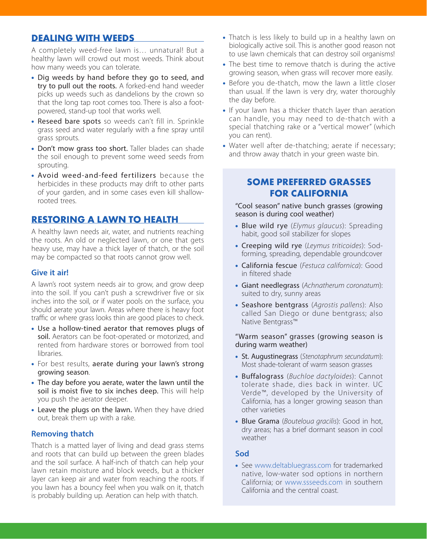### **DEALING WITH WEEDS**

A completely weed-free lawn is… unnatural! But a healthy lawn will crowd out most weeds. Think about how many weeds you can tolerate.

- Dig weeds by hand before they go to seed, and try to pull out the roots. A forked-end hand weeder picks up weeds such as dandelions by the crown so that the long tap root comes too. There is also a footpowered, stand-up tool that works well.
- Reseed bare spots so weeds can't fill in. Sprinkle grass seed and water regularly with a fine spray until grass sprouts.
- Don't mow grass too short. Taller blades can shade the soil enough to prevent some weed seeds from sprouting.
- Avoid weed-and-feed fertilizers because the herbicides in these products may drift to other parts of your garden, and in some cases even kill shallowrooted trees.

### **RESTORING A LAWN TO HEALTH**

A healthy lawn needs air, water, and nutrients reaching the roots. An old or neglected lawn, or one that gets heavy use, may have a thick layer of thatch, or the soil may be compacted so that roots cannot grow well.

### **Give it air!**

A lawn's root system needs air to grow, and grow deep into the soil. If you can't push a screwdriver five or six inches into the soil, or if water pools on the surface, you should aerate your lawn. Areas where there is heavy foot traffic or where grass looks thin are good places to check.

- Use a hollow-tined aerator that removes plugs of soil. Aerators can be foot-operated or motorized, and rented from hardware stores or borrowed from tool libraries.
- For best results, aerate during your lawn's strong growing season.
- The day before you aerate, water the lawn until the soil is moist five to six inches deep. This will help you push the aerator deeper.
- Leave the plugs on the lawn. When they have dried out, break them up with a rake.

### **Removing thatch**

Thatch is a matted layer of living and dead grass stems and roots that can build up between the green blades and the soil surface. A half-inch of thatch can help your lawn retain moisture and block weeds, but a thicker layer can keep air and water from reaching the roots. If you lawn has a bouncy feel when you walk on it, thatch is probably building up. Aeration can help with thatch.

- Thatch is less likely to build up in a healthy lawn on biologically active soil. This is another good reason not to use lawn chemicals that can destroy soil organisms!
- The best time to remove thatch is during the active growing season, when grass will recover more easily.
- Before you de-thatch, mow the lawn a little closer than usual. If the lawn is very dry, water thoroughly the day before.
- If your lawn has a thicker thatch layer than aeration can handle, you may need to de-thatch with a special thatching rake or a "vertical mower" (which you can rent).
- Water well after de-thatching; aerate if necessary; and throw away thatch in your green waste bin.

# **SOME PREFERRED GRASSES FOR CALIFORNIA**

"Cool season" native bunch grasses (growing season is during cool weather)

- • Blue wild rye (*Elymus glaucus*): Spreading habit, good soil stabilizer for slopes
- • Creeping wild rye (*Leymus triticoides*): Sodforming, spreading, dependable groundcover
- • California fescue (*Festuca californica*): Good in filtered shade
- • Giant needlegrass (*Achnatherum coronatum*): suited to dry, sunny areas
- • Seashore bentgrass (*Agrostis pallens*): Also called San Diego or dune bentgrass; also Native Bentgrass™

#### "Warm season" grasses (growing season is during warm weather)

- • St. Augustinegrass (*Stenotaphrum secundatum*): Most shade-tolerant of warm season grasses
- • Buffalograss (*Buchloe dactyloides*): Cannot tolerate shade, dies back in winter. UC Verde™, developed by the University of California, has a longer growing season than other varieties
- • Blue Grama (*Bouteloua gracilis*): Good in hot, dry areas; has a brief dormant season in cool weather

### **Sod**

• See www.deltabluegrass.com for trademarked native, low-water sod options in northern California; or www.ssseeds.com in southern California and the central coast.